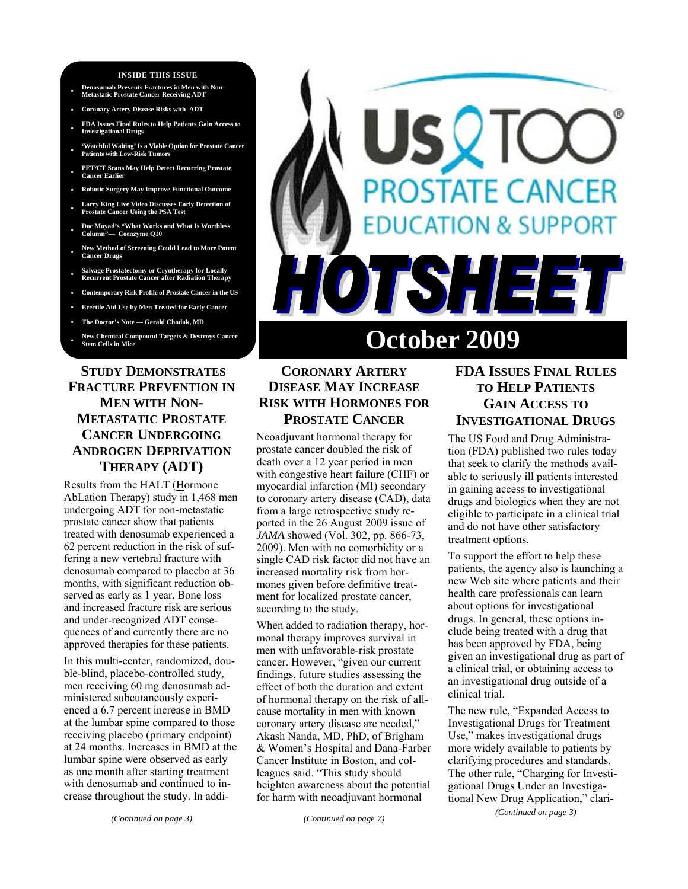#### **INSIDE THIS ISSUE**

- **Denosumab Prevents Fractures in Men with Non-Metastatic Prostate Cancer Receiving ADT**
- **Coronary Artery Disease Risks with ADT**
- **FDA Issues Final Rules to Help Patients Gain Access to Investigational Drugs**
- **'Watchful Waiting' Is a Viable Option for Prostate Cancer**  Patients with Low-Risk Tumor
- **PET/CT Scans May Help Detect Recurring Prostate Cancer Earlier**
- **Robotic Surgery May Improve Functional Outcome**
- **Larry King Live Video Discusses Early Detection of Prostate Cancer Using the PSA Test**
- **Doc Moyad's "What Works and What Is Worthless Column"— Coenzyme Q10**
- **New Method of Screening Could Lead to More Potent Cancer Drugs**
- **Salvage Prostatectomy or Cryotherapy for Locally Recurrent Prostate Cancer after Radiation Therapy**
- **Contemporary Risk Profile of Prostate Cancer in the US**
- **Erectile Aid Use by Men Treated for Early Cancer**
- **The Doctor's Note Gerald Chodak, MD**
- **New Chemical Compound Targets & Destroys Cancer Stem Cells in Mice**

## **STUDY DEMONSTRATES FRACTURE PREVENTION IN MEN WITH NON-METASTATIC PROSTATE CANCER UNDERGOING ANDROGEN DEPRIVATION THERAPY (ADT)**

Results from the HALT (Hormone AbLation Therapy) study in 1,468 men undergoing ADT for non-metastatic prostate cancer show that patients treated with denosumab experienced a 62 percent reduction in the risk of suffering a new vertebral fracture with denosumab compared to placebo at 36 months, with significant reduction observed as early as 1 year. Bone loss and increased fracture risk are serious and under-recognized ADT consequences of and currently there are no approved therapies for these patients.

In this multi-center, randomized, double-blind, placebo-controlled study, men receiving 60 mg denosumab administered subcutaneously experienced a 6.7 percent increase in BMD at the lumbar spine compared to those receiving placebo (primary endpoint) at 24 months. Increases in BMD at the lumbar spine were observed as early as one month after starting treatment with denosumab and continued to increase throughout the study. In addi-

# **OSTATE CANCER ION & SUPPORT** TSH E 3 **October 2009**

# **CORONARY ARTERY DISEASE MAY INCREASE RISK WITH HORMONES FOR**

**PROSTATE CANCER**

Neoadjuvant hormonal therapy for prostate cancer doubled the risk of death over a 12 year period in men with congestive heart failure (CHF) or myocardial infarction (MI) secondary to coronary artery disease (CAD), data from a large retrospective study reported in the 26 August 2009 issue of *JAMA* showed (Vol. 302, pp. 866-73, 2009). Men with no comorbidity or a single CAD risk factor did not have an increased mortality risk from hormones given before definitive treatment for localized prostate cancer, according to the study.

When added to radiation therapy, hormonal therapy improves survival in men with unfavorable-risk prostate cancer. However, "given our current findings, future studies assessing the effect of both the duration and extent of hormonal therapy on the risk of allcause mortality in men with known coronary artery disease are needed," Akash Nanda, MD, PhD, of Brigham & Women's Hospital and Dana-Farber Cancer Institute in Boston, and colleagues said. "This study should heighten awareness about the potential for harm with neoadjuvant hormonal

## **FDA ISSUES FINAL RULES TO HELP PATIENTS GAIN ACCESS TO INVESTIGATIONAL DRUGS**

The US Food and Drug Administration (FDA) published two rules today that seek to clarify the methods available to seriously ill patients interested in gaining access to investigational drugs and biologics when they are not eligible to participate in a clinical trial and do not have other satisfactory treatment options.

To support the effort to help these patients, the agency also is launching a new Web site where patients and their health care professionals can learn about options for investigational drugs. In general, these options include being treated with a drug that has been approved by FDA, being given an investigational drug as part of a clinical trial, or obtaining access to an investigational drug outside of a clinical trial.

The new rule, "Expanded Access to Investigational Drugs for Treatment Use," makes investigational drugs more widely available to patients by clarifying procedures and standards. The other rule, "Charging for Investigational Drugs Under an Investigational New Drug Application," clari- *(Continued on page 3)*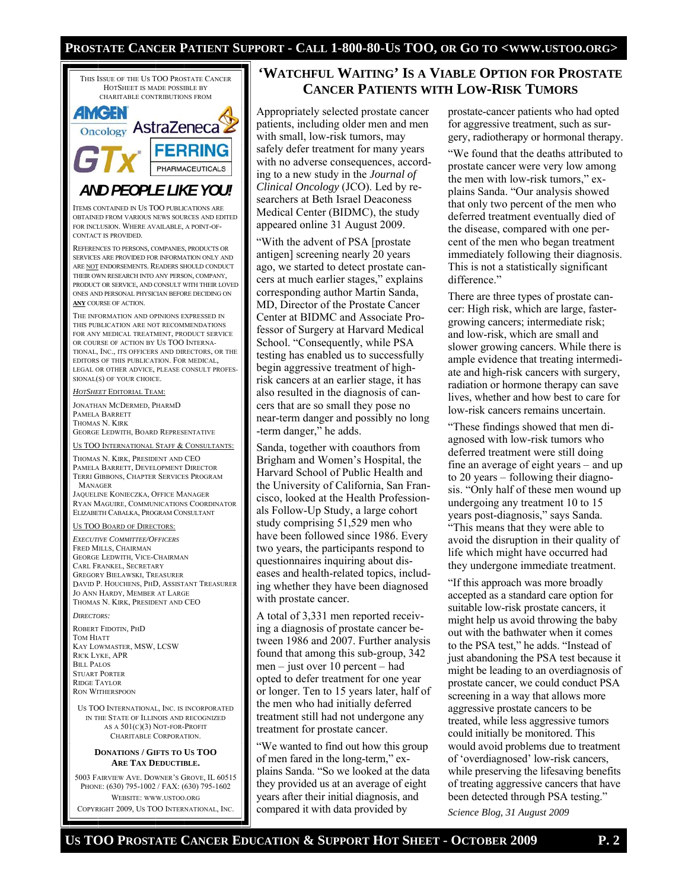## **PROSTATE CANCER PATIENT SUPPORT - CALL 1-800-80-US TOO, OR GO TO <WWW.USTOO.ORG>**



#### 5003 FAIRVIEW AVE. DOWNER'S GROVE, IL 60515 PHONE: (630) 795-1002 / FAX: (630) 795-1602 WEBSITE: WWW.USTOO.ORG COPYRIGHT 2009, US TOO INTERNATIONAL, INC.

## **'WATCHFUL WAITING' IS A VIABLE OPTION FOR PROSTATE CANCER PATIENTS WITH LOW-RISK TUMORS**

Appropriately selected prostate cancer patients, including older men and men with small, low-risk tumors, may safely defer treatment for many years with no adverse consequences, according to a new study in the *Journal of Clinical Oncology* (JCO). Led by researchers at Beth Israel Deaconess Medical Center (BIDMC), the study appeared online 31 August 2009.

"With the advent of PSA [prostate antigen] screening nearly 20 years ago, we started to detect prostate cancers at much earlier stages," explains corresponding author Martin Sanda, MD, Director of the Prostate Cancer Center at BIDMC and Associate Professor of Surgery at Harvard Medical School. "Consequently, while PSA testing has enabled us to successfully begin aggressive treatment of highrisk cancers at an earlier stage, it has also resulted in the diagnosis of cancers that are so small they pose no near-term danger and possibly no long -term danger," he adds.

Sanda, together with coauthors from Brigham and Women's Hospital, the Harvard School of Public Health and the University of California, San Francisco, looked at the Health Professionals Follow-Up Study, a large cohort study comprising 51,529 men who have been followed since 1986. Every two years, the participants respond to questionnaires inquiring about diseases and health-related topics, including whether they have been diagnosed with prostate cancer.

A total of 3,331 men reported receiving a diagnosis of prostate cancer between 1986 and 2007. Further analysis found that among this sub-group, 342 men – just over 10 percent – had opted to defer treatment for one year or longer. Ten to 15 years later, half of the men who had initially deferred treatment still had not undergone any treatment for prostate cancer.

"We wanted to find out how this group of men fared in the long-term," explains Sanda. "So we looked at the data they provided us at an average of eight years after their initial diagnosis, and compared it with data provided by

prostate-cancer patients who had opted for aggressive treatment, such as surgery, radiotherapy or hormonal therapy.

"We found that the deaths attributed to prostate cancer were very low among the men with low-risk tumors," explains Sanda. "Our analysis showed that only two percent of the men who deferred treatment eventually died of the disease, compared with one percent of the men who began treatment immediately following their diagnosis. This is not a statistically significant difference."

There are three types of prostate cancer: High risk, which are large, fastergrowing cancers; intermediate risk; and low-risk, which are small and slower growing cancers. While there is ample evidence that treating intermediate and high-risk cancers with surgery, radiation or hormone therapy can save lives, whether and how best to care for low-risk cancers remains uncertain.

"These findings showed that men diagnosed with low-risk tumors who deferred treatment were still doing fine an average of eight years – and up to 20 years – following their diagnosis. "Only half of these men wound up undergoing any treatment 10 to 15 years post-diagnosis," says Sanda. "This means that they were able to avoid the disruption in their quality of life which might have occurred had they undergone immediate treatment.

"If this approach was more broadly accepted as a standard care option for suitable low-risk prostate cancers, it might help us avoid throwing the baby out with the bathwater when it comes to the PSA test," he adds. "Instead of just abandoning the PSA test because it might be leading to an overdiagnosis of prostate cancer, we could conduct PSA screening in a way that allows more aggressive prostate cancers to be treated, while less aggressive tumors could initially be monitored. This would avoid problems due to treatment of 'overdiagnosed' low-risk cancers, while preserving the lifesaving benefits of treating aggressive cancers that have been detected through PSA testing."

*Science Blog, 31 August 2009*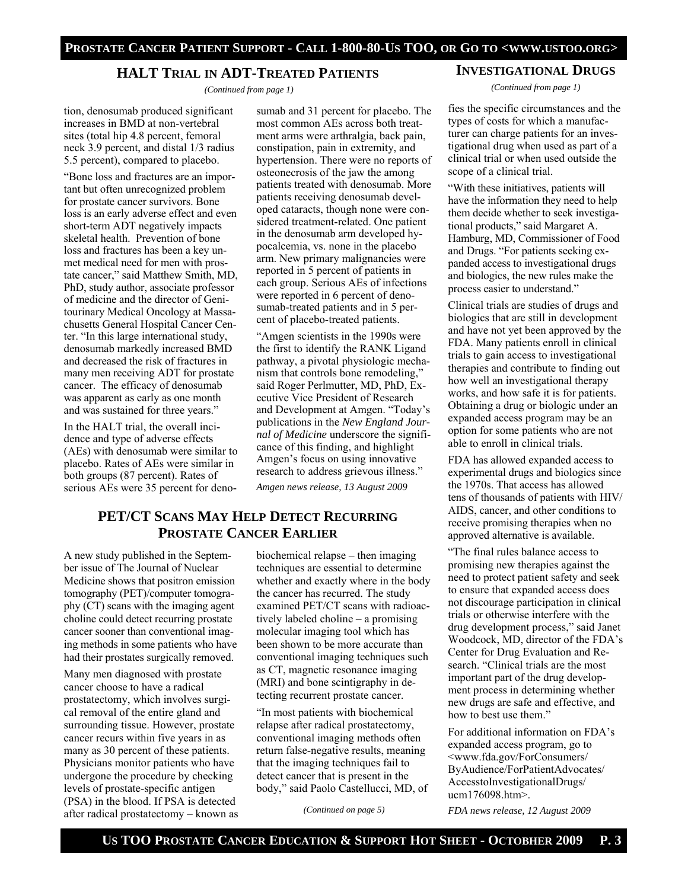## **HALT TRIAL IN ADT-TREATED PATIENTS**

 *(Continued from page 1)* 

tion, denosumab produced significant increases in BMD at non-vertebral sites (total hip 4.8 percent, femoral neck 3.9 percent, and distal 1/3 radius 5.5 percent), compared to placebo.

"Bone loss and fractures are an important but often unrecognized problem for prostate cancer survivors. Bone loss is an early adverse effect and even short-term ADT negatively impacts skeletal health. Prevention of bone loss and fractures has been a key unmet medical need for men with prostate cancer," said Matthew Smith, MD, PhD, study author, associate professor of medicine and the director of Genitourinary Medical Oncology at Massachusetts General Hospital Cancer Center. "In this large international study, denosumab markedly increased BMD and decreased the risk of fractures in many men receiving ADT for prostate cancer. The efficacy of denosumab was apparent as early as one month and was sustained for three years."

In the HALT trial, the overall incidence and type of adverse effects (AEs) with denosumab were similar to placebo. Rates of AEs were similar in both groups (87 percent). Rates of serious AEs were 35 percent for deno-

sumab and 31 percent for placebo. The most common AEs across both treatment arms were arthralgia, back pain, constipation, pain in extremity, and hypertension. There were no reports of osteonecrosis of the jaw the among patients treated with denosumab. More patients receiving denosumab developed cataracts, though none were considered treatment-related. One patient in the denosumab arm developed hypocalcemia, vs. none in the placebo arm. New primary malignancies were reported in 5 percent of patients in each group. Serious AEs of infections were reported in 6 percent of denosumab-treated patients and in 5 percent of placebo-treated patients.

"Amgen scientists in the 1990s were the first to identify the RANK Ligand pathway, a pivotal physiologic mechanism that controls bone remodeling," said Roger Perlmutter, MD, PhD, Executive Vice President of Research and Development at Amgen. "Today's publications in the *New England Journal of Medicine* underscore the significance of this finding, and highlight Amgen's focus on using innovative research to address grievous illness."

*Amgen news release, 13 August 2009* 

## **PET/CT SCANS MAY HELP DETECT RECURRING PROSTATE CANCER EARLIER**

A new study published in the September issue of The Journal of Nuclear Medicine shows that positron emission tomography (PET)/computer tomography (CT) scans with the imaging agent choline could detect recurring prostate cancer sooner than conventional imaging methods in some patients who have had their prostates surgically removed.

Many men diagnosed with prostate cancer choose to have a radical prostatectomy, which involves surgical removal of the entire gland and surrounding tissue. However, prostate cancer recurs within five years in as many as 30 percent of these patients. Physicians monitor patients who have undergone the procedure by checking levels of prostate-specific antigen (PSA) in the blood. If PSA is detected after radical prostatectomy – known as biochemical relapse – then imaging techniques are essential to determine whether and exactly where in the body the cancer has recurred. The study examined PET/CT scans with radioactively labeled choline – a promising molecular imaging tool which has been shown to be more accurate than conventional imaging techniques such as CT, magnetic resonance imaging (MRI) and bone scintigraphy in detecting recurrent prostate cancer.

"In most patients with biochemical relapse after radical prostatectomy, conventional imaging methods often return false-negative results, meaning that the imaging techniques fail to detect cancer that is present in the body," said Paolo Castellucci, MD, of

*(Continued on page 5)* 

fies the specific circumstances and the types of costs for which a manufacturer can charge patients for an investigational drug when used as part of a clinical trial or when used outside the scope of a clinical trial.

"With these initiatives, patients will have the information they need to help them decide whether to seek investigational products," said Margaret A. Hamburg, MD, Commissioner of Food and Drugs. "For patients seeking expanded access to investigational drugs and biologics, the new rules make the process easier to understand."

Clinical trials are studies of drugs and biologics that are still in development and have not yet been approved by the FDA. Many patients enroll in clinical trials to gain access to investigational therapies and contribute to finding out how well an investigational therapy works, and how safe it is for patients. Obtaining a drug or biologic under an expanded access program may be an option for some patients who are not able to enroll in clinical trials.

FDA has allowed expanded access to experimental drugs and biologics since the 1970s. That access has allowed tens of thousands of patients with HIV/ AIDS, cancer, and other conditions to receive promising therapies when no approved alternative is available.

"The final rules balance access to promising new therapies against the need to protect patient safety and seek to ensure that expanded access does not discourage participation in clinical trials or otherwise interfere with the drug development process," said Janet Woodcock, MD, director of the FDA's Center for Drug Evaluation and Research. "Clinical trials are the most important part of the drug development process in determining whether new drugs are safe and effective, and how to best use them."

For additional information on FDA's expanded access program, go to <www.fda.gov/ForConsumers/ ByAudience/ForPatientAdvocates/ AccesstoInvestigationalDrugs/ ucm176098.htm>.

*FDA news release, 12 August 2009*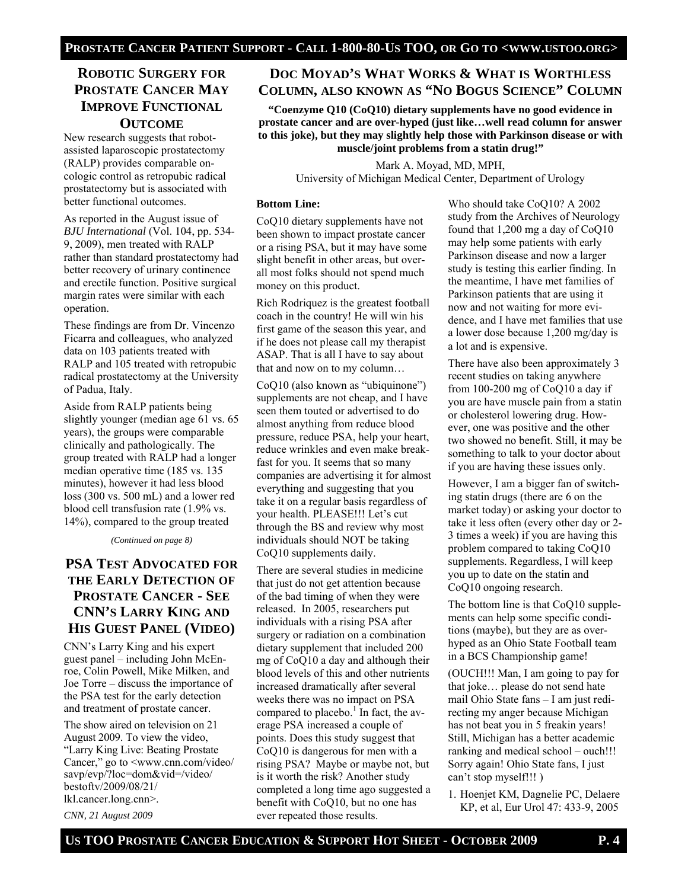## **ROBOTIC SURGERY FOR PROSTATE CANCER MAY IMPROVE FUNCTIONAL OUTCOME**

New research suggests that robotassisted laparoscopic prostatectomy (RALP) provides comparable oncologic control as retropubic radical prostatectomy but is associated with better functional outcomes.

As reported in the August issue of *BJU International* (Vol. 104, pp. 534- 9, 2009), men treated with RALP rather than standard prostatectomy had better recovery of urinary continence and erectile function. Positive surgical margin rates were similar with each operation.

These findings are from Dr. Vincenzo Ficarra and colleagues, who analyzed data on 103 patients treated with RALP and 105 treated with retropubic radical prostatectomy at the University of Padua, Italy.

Aside from RALP patients being slightly younger (median age 61 vs. 65 years), the groups were comparable clinically and pathologically. The group treated with RALP had a longer median operative time (185 vs. 135 minutes), however it had less blood loss (300 vs. 500 mL) and a lower red blood cell transfusion rate (1.9% vs. 14%), compared to the group treated

*(Continued on page 8)* 

## **PSA TEST ADVOCATED FOR THE EARLY DETECTION OF PROSTATE CANCER - SEE CNN'S LARRY KING AND HIS GUEST PANEL (VIDEO)**

CNN's Larry King and his expert guest panel – including John McEnroe, Colin Powell, Mike Milken, and Joe Torre – discuss the importance of the PSA test for the early detection and treatment of prostate cancer.

The show aired on television on 21 August 2009. To view the video, "Larry King Live: Beating Prostate Cancer," go to <www.cnn.com/video/ savp/evp/?loc=dom&vid=/video/ bestoftv/2009/08/21/ lkl.cancer.long.cnn>.

*CNN, 21 August 2009* 

# **DOC MOYAD'S WHAT WORKS & WHAT IS WORTHLESS COLUMN, ALSO KNOWN AS "NO BOGUS SCIENCE" COLUMN**

**"Coenzyme Q10 (CoQ10) dietary supplements have no good evidence in prostate cancer and are over-hyped (just like…well read column for answer to this joke), but they may slightly help those with Parkinson disease or with muscle/joint problems from a statin drug!"** 

> Mark A. Moyad, MD, MPH, University of Michigan Medical Center, Department of Urology

#### **Bottom Line:**

CoQ10 dietary supplements have not been shown to impact prostate cancer or a rising PSA, but it may have some slight benefit in other areas, but overall most folks should not spend much money on this product.

Rich Rodriquez is the greatest football coach in the country! He will win his first game of the season this year, and if he does not please call my therapist ASAP. That is all I have to say about that and now on to my column…

CoQ10 (also known as "ubiquinone") supplements are not cheap, and I have seen them touted or advertised to do almost anything from reduce blood pressure, reduce PSA, help your heart, reduce wrinkles and even make breakfast for you. It seems that so many companies are advertising it for almost everything and suggesting that you take it on a regular basis regardless of your health. PLEASE!!! Let's cut through the BS and review why most individuals should NOT be taking CoQ10 supplements daily.

There are several studies in medicine that just do not get attention because of the bad timing of when they were released. In 2005, researchers put individuals with a rising PSA after surgery or radiation on a combination dietary supplement that included 200 mg of CoQ10 a day and although their blood levels of this and other nutrients increased dramatically after several weeks there was no impact on PSA compared to placebo. $\frac{1}{1}$  In fact, the average PSA increased a couple of points. Does this study suggest that CoQ10 is dangerous for men with a rising PSA? Maybe or maybe not, but is it worth the risk? Another study completed a long time ago suggested a benefit with CoQ10, but no one has ever repeated those results.

Who should take CoQ10? A 2002 study from the Archives of Neurology found that 1,200 mg a day of CoQ10 may help some patients with early Parkinson disease and now a larger study is testing this earlier finding. In the meantime, I have met families of Parkinson patients that are using it now and not waiting for more evidence, and I have met families that use a lower dose because 1,200 mg/day is a lot and is expensive.

There have also been approximately 3 recent studies on taking anywhere from 100-200 mg of CoQ10 a day if you are have muscle pain from a statin or cholesterol lowering drug. However, one was positive and the other two showed no benefit. Still, it may be something to talk to your doctor about if you are having these issues only.

However, I am a bigger fan of switching statin drugs (there are 6 on the market today) or asking your doctor to take it less often (every other day or 2- 3 times a week) if you are having this problem compared to taking CoQ10 supplements. Regardless, I will keep you up to date on the statin and CoQ10 ongoing research.

The bottom line is that CoQ10 supplements can help some specific conditions (maybe), but they are as overhyped as an Ohio State Football team in a BCS Championship game!

(OUCH!!! Man, I am going to pay for that joke… please do not send hate mail Ohio State fans – I am just redirecting my anger because Michigan has not beat you in 5 freakin years! Still, Michigan has a better academic ranking and medical school – ouch!!! Sorry again! Ohio State fans, I just can't stop myself!!! )

1. Hoenjet KM, Dagnelie PC, Delaere KP, et al, Eur Urol 47: 433-9, 2005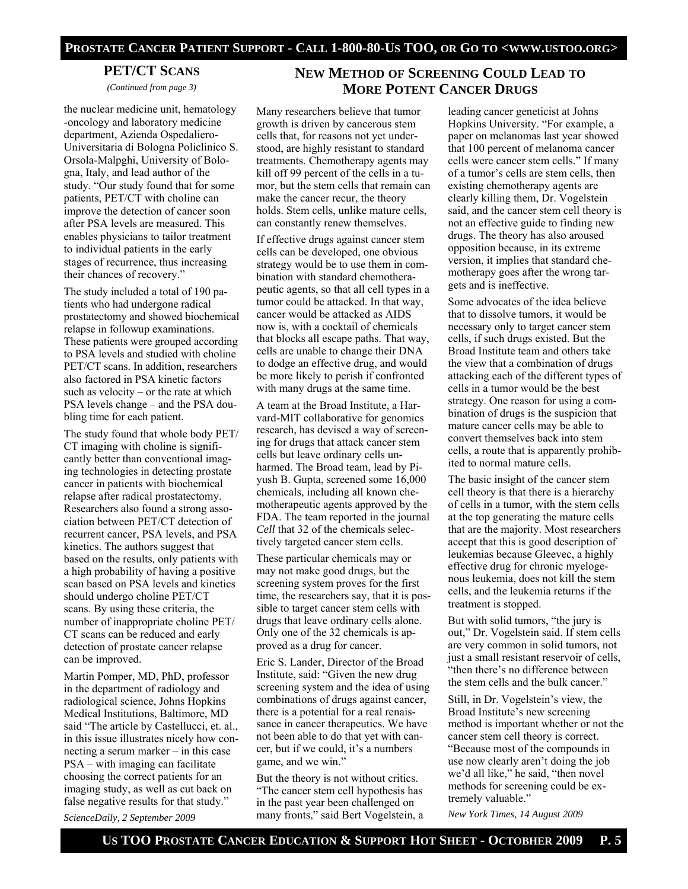#### **PET/CT SCANS**

*(Continued from page 3)* 

the nuclear medicine unit, hematology -oncology and laboratory medicine department, Azienda Ospedaliero-Universitaria di Bologna Policlinico S. Orsola-Malpghi, University of Bologna, Italy, and lead author of the study. "Our study found that for some patients, PET/CT with choline can improve the detection of cancer soon after PSA levels are measured. This enables physicians to tailor treatment to individual patients in the early stages of recurrence, thus increasing their chances of recovery."

The study included a total of 190 patients who had undergone radical prostatectomy and showed biochemical relapse in followup examinations. These patients were grouped according to PSA levels and studied with choline PET/CT scans. In addition, researchers also factored in PSA kinetic factors such as velocity – or the rate at which PSA levels change – and the PSA doubling time for each patient.

The study found that whole body PET/ CT imaging with choline is significantly better than conventional imaging technologies in detecting prostate cancer in patients with biochemical relapse after radical prostatectomy. Researchers also found a strong association between PET/CT detection of recurrent cancer, PSA levels, and PSA kinetics. The authors suggest that based on the results, only patients with a high probability of having a positive scan based on PSA levels and kinetics should undergo choline PET/CT scans. By using these criteria, the number of inappropriate choline PET/ CT scans can be reduced and early detection of prostate cancer relapse can be improved.

Martin Pomper, MD, PhD, professor in the department of radiology and radiological science, Johns Hopkins Medical Institutions, Baltimore, MD said "The article by Castellucci, et. al., in this issue illustrates nicely how connecting a serum marker – in this case PSA – with imaging can facilitate choosing the correct patients for an imaging study, as well as cut back on false negative results for that study." *ScienceDaily, 2 September 2009* 

## **NEW METHOD OF SCREENING COULD LEAD TO MORE POTENT CANCER DRUGS**

Many researchers believe that tumor growth is driven by cancerous stem cells that, for reasons not yet understood, are highly resistant to standard treatments. Chemotherapy agents may kill off 99 percent of the cells in a tumor, but the stem cells that remain can make the cancer recur, the theory holds. Stem cells, unlike mature cells, can constantly renew themselves.

If effective drugs against cancer stem cells can be developed, one obvious strategy would be to use them in combination with standard chemotherapeutic agents, so that all cell types in a tumor could be attacked. In that way, cancer would be attacked as AIDS now is, with a cocktail of chemicals that blocks all escape paths. That way, cells are unable to change their DNA to dodge an effective drug, and would be more likely to perish if confronted with many drugs at the same time.

A team at the Broad Institute, a Harvard-MIT collaborative for genomics research, has devised a way of screening for drugs that attack cancer stem cells but leave ordinary cells unharmed. The Broad team, lead by Piyush B. Gupta, screened some 16,000 chemicals, including all known chemotherapeutic agents approved by the FDA. The team reported in the journal *Cell* that 32 of the chemicals selectively targeted cancer stem cells.

These particular chemicals may or may not make good drugs, but the screening system proves for the first time, the researchers say, that it is possible to target cancer stem cells with drugs that leave ordinary cells alone. Only one of the 32 chemicals is approved as a drug for cancer.

Eric S. Lander, Director of the Broad Institute, said: "Given the new drug screening system and the idea of using combinations of drugs against cancer, there is a potential for a real renaissance in cancer therapeutics. We have not been able to do that yet with cancer, but if we could, it's a numbers game, and we win."

But the theory is not without critics. "The cancer stem cell hypothesis has in the past year been challenged on many fronts," said Bert Vogelstein, a

leading cancer geneticist at Johns Hopkins University. "For example, a paper on melanomas last year showed that 100 percent of melanoma cancer cells were cancer stem cells." If many of a tumor's cells are stem cells, then existing chemotherapy agents are clearly killing them, Dr. Vogelstein said, and the cancer stem cell theory is not an effective guide to finding new drugs. The theory has also aroused opposition because, in its extreme version, it implies that standard chemotherapy goes after the wrong targets and is ineffective.

Some advocates of the idea believe that to dissolve tumors, it would be necessary only to target cancer stem cells, if such drugs existed. But the Broad Institute team and others take the view that a combination of drugs attacking each of the different types of cells in a tumor would be the best strategy. One reason for using a combination of drugs is the suspicion that mature cancer cells may be able to convert themselves back into stem cells, a route that is apparently prohibited to normal mature cells.

The basic insight of the cancer stem cell theory is that there is a hierarchy of cells in a tumor, with the stem cells at the top generating the mature cells that are the majority. Most researchers accept that this is good description of leukemias because Gleevec, a highly effective drug for chronic myelogenous leukemia, does not kill the stem cells, and the leukemia returns if the treatment is stopped.

But with solid tumors, "the jury is out," Dr. Vogelstein said. If stem cells are very common in solid tumors, not just a small resistant reservoir of cells, "then there's no difference between the stem cells and the bulk cancer."

Still, in Dr. Vogelstein's view, the Broad Institute's new screening method is important whether or not the cancer stem cell theory is correct. "Because most of the compounds in use now clearly aren't doing the job we'd all like," he said, "then novel methods for screening could be extremely valuable."

*New York Times, 14 August 2009*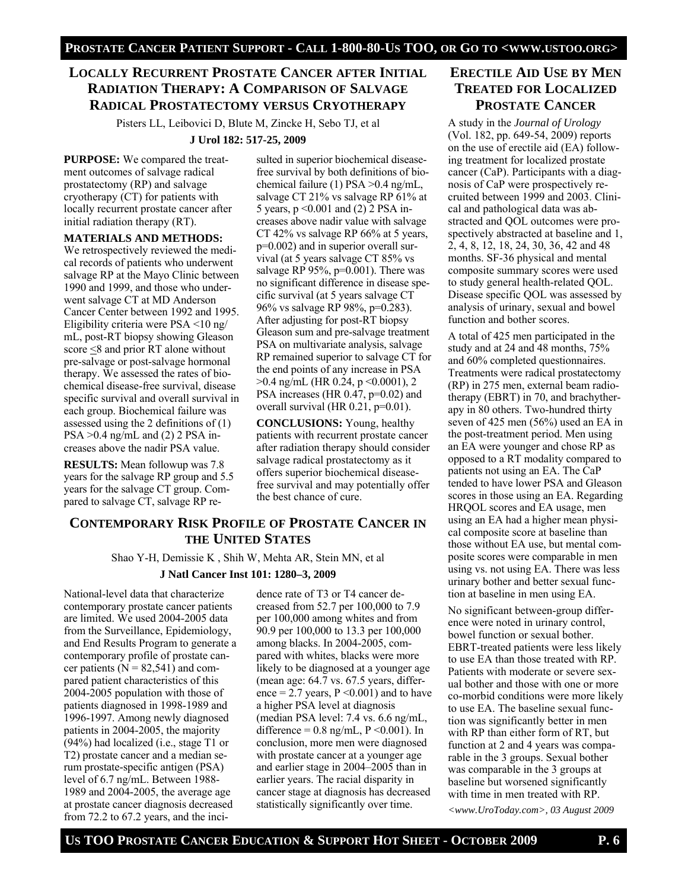## **LOCALLY RECURRENT PROSTATE CANCER AFTER INITIAL RADIATION THERAPY: A COMPARISON OF SALVAGE RADICAL PROSTATECTOMY VERSUS CRYOTHERAPY**

Pisters LL, Leibovici D, Blute M, Zincke H, Sebo TJ, et al

#### **J Urol 182: 517-25, 2009**

**PURPOSE:** We compared the treatment outcomes of salvage radical prostatectomy (RP) and salvage cryotherapy (CT) for patients with locally recurrent prostate cancer after initial radiation therapy (RT).

#### **MATERIALS AND METHODS:**

We retrospectively reviewed the medical records of patients who underwent salvage RP at the Mayo Clinic between 1990 and 1999, and those who underwent salvage CT at MD Anderson Cancer Center between 1992 and 1995. Eligibility criteria were PSA <10 ng/ mL, post-RT biopsy showing Gleason score <8 and prior RT alone without pre-salvage or post-salvage hormonal therapy. We assessed the rates of biochemical disease-free survival, disease specific survival and overall survival in each group. Biochemical failure was assessed using the 2 definitions of (1) PSA >0.4 ng/mL and (2) 2 PSA increases above the nadir PSA value.

**RESULTS:** Mean followup was 7.8 years for the salvage RP group and 5.5 years for the salvage CT group. Compared to salvage CT, salvage RP resulted in superior biochemical diseasefree survival by both definitions of biochemical failure (1) PSA >0.4 ng/mL, salvage CT 21% vs salvage RP 61% at 5 years, p <0.001 and (2) 2 PSA increases above nadir value with salvage CT 42% vs salvage RP 66% at 5 years, p=0.002) and in superior overall survival (at 5 years salvage CT 85% vs salvage RP 95%, p=0.001). There was no significant difference in disease specific survival (at 5 years salvage CT 96% vs salvage RP 98%, p=0.283). After adjusting for post-RT biopsy Gleason sum and pre-salvage treatment PSA on multivariate analysis, salvage RP remained superior to salvage CT for the end points of any increase in PSA  $>0.4$  ng/mL (HR 0.24, p  $\leq$  0.0001), 2 PSA increases (HR 0.47, p=0.02) and overall survival (HR  $0.21$ ,  $p=0.01$ ).

**CONCLUSIONS:** Young, healthy patients with recurrent prostate cancer after radiation therapy should consider salvage radical prostatectomy as it offers superior biochemical diseasefree survival and may potentially offer the best chance of cure.

## **CONTEMPORARY RISK PROFILE OF PROSTATE CANCER IN THE UNITED STATES**

Shao Y-H, Demissie K , Shih W, Mehta AR, Stein MN, et al

#### **J Natl Cancer Inst 101: 1280–3, 2009**

National-level data that characterize contemporary prostate cancer patients are limited. We used 2004-2005 data from the Surveillance, Epidemiology, and End Results Program to generate a contemporary profile of prostate cancer patients  $(N = 82,541)$  and compared patient characteristics of this 2004-2005 population with those of patients diagnosed in 1998-1989 and 1996-1997. Among newly diagnosed patients in 2004-2005, the majority (94%) had localized (i.e., stage T1 or T2) prostate cancer and a median serum prostate-specific antigen (PSA) level of 6.7 ng/mL. Between 1988- 1989 and 2004-2005, the average age at prostate cancer diagnosis decreased from 72.2 to 67.2 years, and the inci-

dence rate of T3 or T4 cancer decreased from 52.7 per 100,000 to 7.9 per 100,000 among whites and from 90.9 per 100,000 to 13.3 per 100,000 among blacks. In 2004-2005, compared with whites, blacks were more likely to be diagnosed at a younger age (mean age: 64.7 vs. 67.5 years, difference  $= 2.7$  years,  $P \le 0.001$  and to have a higher PSA level at diagnosis (median PSA level: 7.4 vs. 6.6 ng/mL, difference =  $0.8$  ng/mL, P <  $0.001$ ). In conclusion, more men were diagnosed with prostate cancer at a younger age and earlier stage in 2004–2005 than in earlier years. The racial disparity in cancer stage at diagnosis has decreased statistically significantly over time.

## **ERECTILE AID USE BY MEN TREATED FOR LOCALIZED PROSTATE CANCER**

A study in the *Journal of Urology*  (Vol. 182, pp. 649-54, 2009) reports on the use of erectile aid (EA) following treatment for localized prostate cancer (CaP). Participants with a diagnosis of CaP were prospectively recruited between 1999 and 2003. Clinical and pathological data was abstracted and QOL outcomes were prospectively abstracted at baseline and 1, 2, 4, 8, 12, 18, 24, 30, 36, 42 and 48 months. SF-36 physical and mental composite summary scores were used to study general health-related QOL. Disease specific QOL was assessed by analysis of urinary, sexual and bowel function and bother scores.

A total of 425 men participated in the study and at 24 and 48 months, 75% and 60% completed questionnaires. Treatments were radical prostatectomy (RP) in 275 men, external beam radiotherapy (EBRT) in 70, and brachytherapy in 80 others. Two-hundred thirty seven of 425 men (56%) used an EA in the post-treatment period. Men using an EA were younger and chose RP as opposed to a RT modality compared to patients not using an EA. The CaP tended to have lower PSA and Gleason scores in those using an EA. Regarding HRQOL scores and EA usage, men using an EA had a higher mean physical composite score at baseline than those without EA use, but mental composite scores were comparable in men using vs. not using EA. There was less urinary bother and better sexual function at baseline in men using EA.

No significant between-group difference were noted in urinary control, bowel function or sexual bother. EBRT-treated patients were less likely to use EA than those treated with RP. Patients with moderate or severe sexual bother and those with one or more co-morbid conditions were more likely to use EA. The baseline sexual function was significantly better in men with RP than either form of RT, but function at 2 and 4 years was comparable in the 3 groups. Sexual bother was comparable in the 3 groups at baseline but worsened significantly with time in men treated with RP.

*<www.UroToday.com>, 03 August 2009*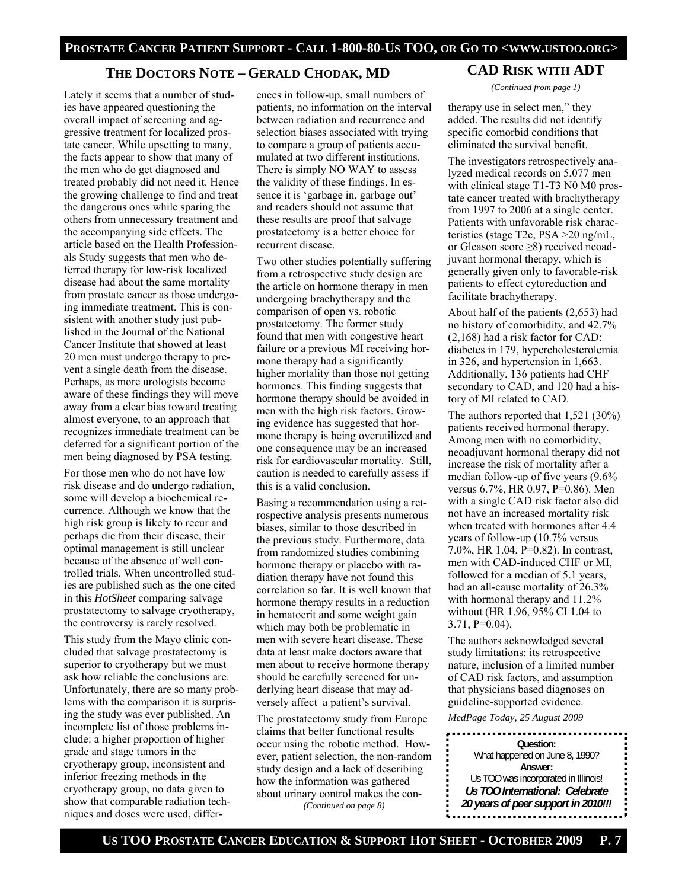## **THE DOCTORS NOTE – GERALD CHODAK, MD**

Lately it seems that a number of studies have appeared questioning the overall impact of screening and aggressive treatment for localized prostate cancer. While upsetting to many, the facts appear to show that many of the men who do get diagnosed and treated probably did not need it. Hence the growing challenge to find and treat the dangerous ones while sparing the others from unnecessary treatment and the accompanying side effects. The article based on the Health Professionals Study suggests that men who deferred therapy for low-risk localized disease had about the same mortality from prostate cancer as those undergoing immediate treatment. This is consistent with another study just published in the Journal of the National Cancer Institute that showed at least 20 men must undergo therapy to prevent a single death from the disease. Perhaps, as more urologists become aware of these findings they will move away from a clear bias toward treating almost everyone, to an approach that recognizes immediate treatment can be deferred for a significant portion of the men being diagnosed by PSA testing.

For those men who do not have low risk disease and do undergo radiation, some will develop a biochemical recurrence. Although we know that the high risk group is likely to recur and perhaps die from their disease, their optimal management is still unclear because of the absence of well controlled trials. When uncontrolled studies are published such as the one cited in this *HotSheet* comparing salvage prostatectomy to salvage cryotherapy, the controversy is rarely resolved.

This study from the Mayo clinic concluded that salvage prostatectomy is superior to cryotherapy but we must ask how reliable the conclusions are. Unfortunately, there are so many problems with the comparison it is surprising the study was ever published. An incomplete list of those problems include: a higher proportion of higher grade and stage tumors in the cryotherapy group, inconsistent and inferior freezing methods in the cryotherapy group, no data given to show that comparable radiation techniques and doses were used, differences in follow-up, small numbers of patients, no information on the interval between radiation and recurrence and selection biases associated with trying to compare a group of patients accumulated at two different institutions. There is simply NO WAY to assess the validity of these findings. In essence it is 'garbage in, garbage out' and readers should not assume that these results are proof that salvage prostatectomy is a better choice for recurrent disease.

Two other studies potentially suffering from a retrospective study design are the article on hormone therapy in men undergoing brachytherapy and the comparison of open vs. robotic prostatectomy. The former study found that men with congestive heart failure or a previous MI receiving hormone therapy had a significantly higher mortality than those not getting hormones. This finding suggests that hormone therapy should be avoided in men with the high risk factors. Growing evidence has suggested that hormone therapy is being overutilized and one consequence may be an increased risk for cardiovascular mortality. Still, caution is needed to carefully assess if this is a valid conclusion.

Basing a recommendation using a retrospective analysis presents numerous biases, similar to those described in the previous study. Furthermore, data from randomized studies combining hormone therapy or placebo with radiation therapy have not found this correlation so far. It is well known that hormone therapy results in a reduction in hematocrit and some weight gain which may both be problematic in men with severe heart disease. These data at least make doctors aware that men about to receive hormone therapy should be carefully screened for underlying heart disease that may adversely affect a patient's survival.

The prostatectomy study from Europe claims that better functional results occur using the robotic method. However, patient selection, the non-random study design and a lack of describing how the information was gathered about urinary control makes the con- *(Continued on page 8)* 

**CAD RISK WITH ADT**  *(Continued from page 1)* 

therapy use in select men," they added. The results did not identify specific comorbid conditions that eliminated the survival benefit.

The investigators retrospectively analyzed medical records on 5,077 men with clinical stage T1-T3 N0 M0 prostate cancer treated with brachytherapy from 1997 to 2006 at a single center. Patients with unfavorable risk characteristics (stage T2c, PSA >20 ng/mL, or Gleason score ≥8) received neoadjuvant hormonal therapy, which is generally given only to favorable-risk patients to effect cytoreduction and facilitate brachytherapy.

About half of the patients (2,653) had no history of comorbidity, and 42.7% (2,168) had a risk factor for CAD: diabetes in 179, hypercholesterolemia in 326, and hypertension in 1,663. Additionally, 136 patients had CHF secondary to CAD, and 120 had a history of MI related to CAD.

The authors reported that 1,521 (30%) patients received hormonal therapy. Among men with no comorbidity, neoadjuvant hormonal therapy did not increase the risk of mortality after a median follow-up of five years (9.6% versus 6.7%, HR 0.97, P=0.86). Men with a single CAD risk factor also did not have an increased mortality risk when treated with hormones after 4.4 years of follow-up (10.7% versus 7.0%, HR 1.04, P=0.82). In contrast, men with CAD-induced CHF or MI, followed for a median of 5.1 years, had an all-cause mortality of 26.3% with hormonal therapy and 11.2% without (HR 1.96, 95% CI 1.04 to 3.71, P=0.04).

The authors acknowledged several study limitations: its retrospective nature, inclusion of a limited number of CAD risk factors, and assumption that physicians based diagnoses on guideline-supported evidence.

*MedPage Today, 25 August 2009*  **Question:**  What happened on June 8, 1990? **Answer:**  Us TOO was incorporated in Illinois! *Us TOO International: Celebrate 20 years of peer support in 2010!!!*